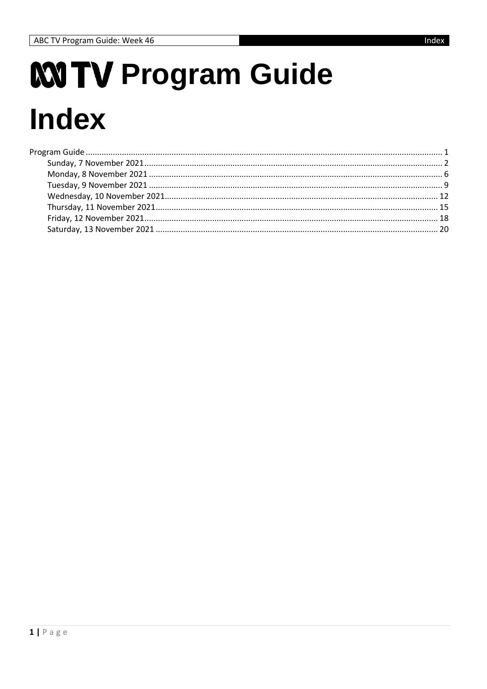# MTV Program Guide **Index**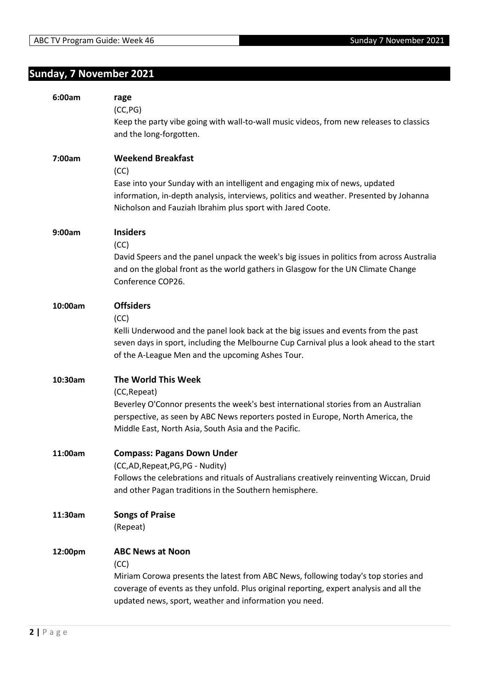## **Sunday, 7 November 2021**

| 6:00am  | rage<br>(CC, PG)<br>Keep the party vibe going with wall-to-wall music videos, from new releases to classics<br>and the long-forgotten.                                                                                                                                     |
|---------|----------------------------------------------------------------------------------------------------------------------------------------------------------------------------------------------------------------------------------------------------------------------------|
| 7:00am  | <b>Weekend Breakfast</b><br>(CC)<br>Ease into your Sunday with an intelligent and engaging mix of news, updated<br>information, in-depth analysis, interviews, politics and weather. Presented by Johanna<br>Nicholson and Fauziah Ibrahim plus sport with Jared Coote.    |
| 9:00am  | <b>Insiders</b><br>(CC)<br>David Speers and the panel unpack the week's big issues in politics from across Australia<br>and on the global front as the world gathers in Glasgow for the UN Climate Change<br>Conference COP26.                                             |
| 10:00am | <b>Offsiders</b><br>(CC)<br>Kelli Underwood and the panel look back at the big issues and events from the past<br>seven days in sport, including the Melbourne Cup Carnival plus a look ahead to the start<br>of the A-League Men and the upcoming Ashes Tour.             |
| 10:30am | The World This Week<br>(CC, Repeat)<br>Beverley O'Connor presents the week's best international stories from an Australian<br>perspective, as seen by ABC News reporters posted in Europe, North America, the<br>Middle East, North Asia, South Asia and the Pacific.      |
| 11:00am | <b>Compass: Pagans Down Under</b><br>(CC,AD, Repeat, PG, PG - Nudity)<br>Follows the celebrations and rituals of Australians creatively reinventing Wiccan, Druid<br>and other Pagan traditions in the Southern hemisphere.                                                |
| 11:30am | <b>Songs of Praise</b><br>(Repeat)                                                                                                                                                                                                                                         |
| 12:00pm | <b>ABC News at Noon</b><br>(CC)<br>Miriam Corowa presents the latest from ABC News, following today's top stories and<br>coverage of events as they unfold. Plus original reporting, expert analysis and all the<br>updated news, sport, weather and information you need. |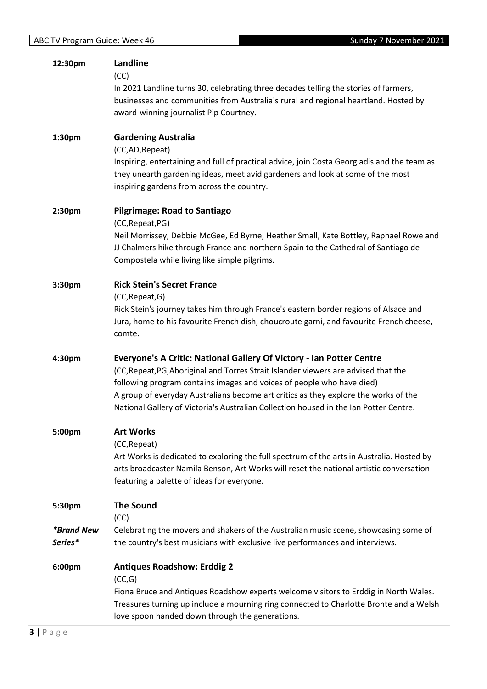| 12:30pm                             | Landline<br>(CC)<br>In 2021 Landline turns 30, celebrating three decades telling the stories of farmers,<br>businesses and communities from Australia's rural and regional heartland. Hosted by<br>award-winning journalist Pip Courtney.                                                                                                                                                                            |
|-------------------------------------|----------------------------------------------------------------------------------------------------------------------------------------------------------------------------------------------------------------------------------------------------------------------------------------------------------------------------------------------------------------------------------------------------------------------|
| 1:30pm                              | <b>Gardening Australia</b><br>(CC,AD, Repeat)<br>Inspiring, entertaining and full of practical advice, join Costa Georgiadis and the team as<br>they unearth gardening ideas, meet avid gardeners and look at some of the most<br>inspiring gardens from across the country.                                                                                                                                         |
| 2:30pm                              | <b>Pilgrimage: Road to Santiago</b><br>(CC, Repeat, PG)<br>Neil Morrissey, Debbie McGee, Ed Byrne, Heather Small, Kate Bottley, Raphael Rowe and<br>JJ Chalmers hike through France and northern Spain to the Cathedral of Santiago de<br>Compostela while living like simple pilgrims.                                                                                                                              |
| 3:30pm                              | <b>Rick Stein's Secret France</b><br>(CC, Repeat, G)<br>Rick Stein's journey takes him through France's eastern border regions of Alsace and<br>Jura, home to his favourite French dish, choucroute garni, and favourite French cheese,<br>comte.                                                                                                                                                                    |
| 4:30pm                              | Everyone's A Critic: National Gallery Of Victory - Ian Potter Centre<br>(CC, Repeat, PG, Aboriginal and Torres Strait Islander viewers are advised that the<br>following program contains images and voices of people who have died)<br>A group of everyday Australians become art critics as they explore the works of the<br>National Gallery of Victoria's Australian Collection housed in the Ian Potter Centre. |
| 5:00pm                              | <b>Art Works</b><br>(CC, Repeat)<br>Art Works is dedicated to exploring the full spectrum of the arts in Australia. Hosted by<br>arts broadcaster Namila Benson, Art Works will reset the national artistic conversation<br>featuring a palette of ideas for everyone.                                                                                                                                               |
| 5:30pm                              | <b>The Sound</b><br>(CC)                                                                                                                                                                                                                                                                                                                                                                                             |
| <i><b>*Brand New</b></i><br>Series* | Celebrating the movers and shakers of the Australian music scene, showcasing some of<br>the country's best musicians with exclusive live performances and interviews.                                                                                                                                                                                                                                                |
| 6:00pm                              | <b>Antiques Roadshow: Erddig 2</b><br>(CC,G)<br>Fiona Bruce and Antiques Roadshow experts welcome visitors to Erddig in North Wales.<br>Treasures turning up include a mourning ring connected to Charlotte Bronte and a Welsh<br>love spoon handed down through the generations.                                                                                                                                    |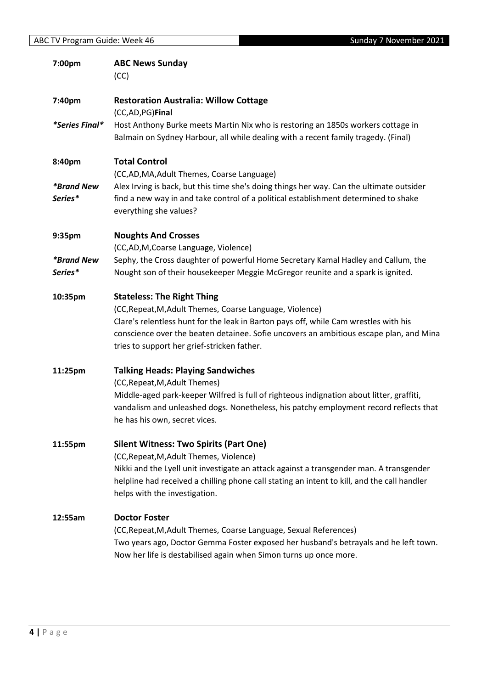| 7:00pm                              | <b>ABC News Sunday</b><br>(CC)                                                                                                                                                                                                                                                                                                 |
|-------------------------------------|--------------------------------------------------------------------------------------------------------------------------------------------------------------------------------------------------------------------------------------------------------------------------------------------------------------------------------|
| 7:40pm                              | <b>Restoration Australia: Willow Cottage</b><br>(CC,AD,PG)Final                                                                                                                                                                                                                                                                |
| <i>*Series Final*</i>               | Host Anthony Burke meets Martin Nix who is restoring an 1850s workers cottage in<br>Balmain on Sydney Harbour, all while dealing with a recent family tragedy. (Final)                                                                                                                                                         |
| 8:40pm                              | <b>Total Control</b><br>(CC,AD,MA,Adult Themes, Coarse Language)                                                                                                                                                                                                                                                               |
| <i><b>*Brand New</b></i><br>Series* | Alex Irving is back, but this time she's doing things her way. Can the ultimate outsider<br>find a new way in and take control of a political establishment determined to shake<br>everything she values?                                                                                                                      |
| 9:35pm                              | <b>Noughts And Crosses</b><br>(CC,AD,M,Coarse Language, Violence)                                                                                                                                                                                                                                                              |
| <i><b>*Brand New</b></i><br>Series* | Sephy, the Cross daughter of powerful Home Secretary Kamal Hadley and Callum, the<br>Nought son of their housekeeper Meggie McGregor reunite and a spark is ignited.                                                                                                                                                           |
| 10:35pm                             | <b>Stateless: The Right Thing</b><br>(CC, Repeat, M, Adult Themes, Coarse Language, Violence)<br>Clare's relentless hunt for the leak in Barton pays off, while Cam wrestles with his<br>conscience over the beaten detainee. Sofie uncovers an ambitious escape plan, and Mina<br>tries to support her grief-stricken father. |
| 11:25pm                             | <b>Talking Heads: Playing Sandwiches</b><br>(CC, Repeat, M, Adult Themes)<br>Middle-aged park-keeper Wilfred is full of righteous indignation about litter, graffiti,<br>vandalism and unleashed dogs. Nonetheless, his patchy employment record reflects that<br>he has his own, secret vices.                                |
| 11:55pm                             | <b>Silent Witness: Two Spirits (Part One)</b><br>(CC, Repeat, M, Adult Themes, Violence)<br>Nikki and the Lyell unit investigate an attack against a transgender man. A transgender<br>helpline had received a chilling phone call stating an intent to kill, and the call handler<br>helps with the investigation.            |
| 12:55am                             | <b>Doctor Foster</b><br>(CC, Repeat, M, Adult Themes, Coarse Language, Sexual References)<br>Two years ago, Doctor Gemma Foster exposed her husband's betrayals and he left town.<br>Now her life is destabilised again when Simon turns up once more.                                                                         |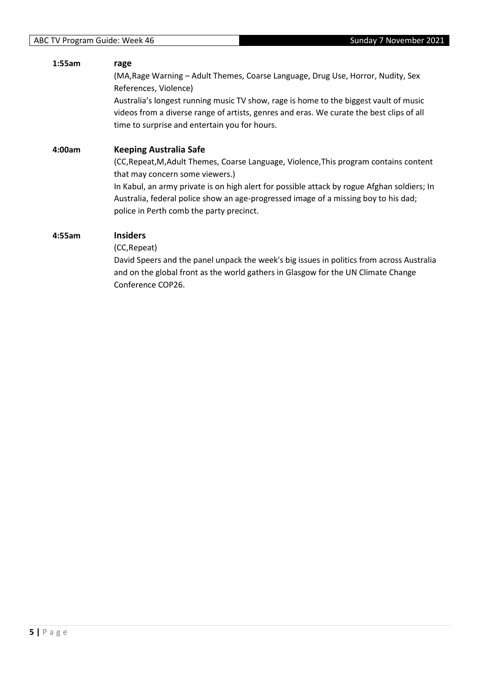#### **1:55am rage** (MA,Rage Warning – Adult Themes, Coarse Language, Drug Use, Horror, Nudity, Sex References, Violence) Australia's longest running music TV show, rage is home to the biggest vault of music videos from a diverse range of artists, genres and eras. We curate the best clips of all time to surprise and entertain you for hours. **4:00am Keeping Australia Safe** (CC,Repeat,M,Adult Themes, Coarse Language, Violence,This program contains content that may concern some viewers.) In Kabul, an army private is on high alert for possible attack by rogue Afghan soldiers; In Australia, federal police show an age-progressed image of a missing boy to his dad; police in Perth comb the party precinct. **4:55am Insiders** (CC,Repeat)

David Speers and the panel unpack the week's big issues in politics from across Australia and on the global front as the world gathers in Glasgow for the UN Climate Change Conference COP26.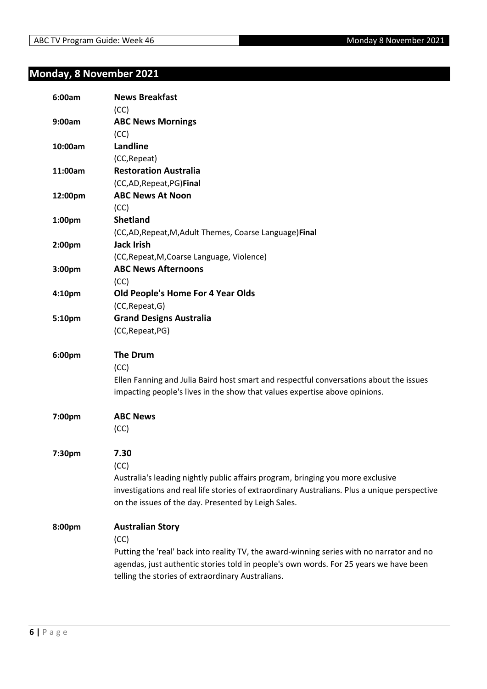## **Monday, 8 November 2021**

| 6:00am  | <b>News Breakfast</b>                                                                        |
|---------|----------------------------------------------------------------------------------------------|
| 9:00am  | (CC)<br><b>ABC News Mornings</b>                                                             |
|         | (CC)                                                                                         |
| 10:00am | Landline                                                                                     |
|         | (CC, Repeat)                                                                                 |
| 11:00am | <b>Restoration Australia</b>                                                                 |
|         | (CC,AD, Repeat, PG) Final                                                                    |
| 12:00pm | <b>ABC News At Noon</b>                                                                      |
|         | (CC)                                                                                         |
| 1:00pm  | <b>Shetland</b>                                                                              |
|         | (CC,AD, Repeat, M, Adult Themes, Coarse Language) Final                                      |
| 2:00pm  | <b>Jack Irish</b>                                                                            |
|         | (CC, Repeat, M, Coarse Language, Violence)                                                   |
| 3:00pm  | <b>ABC News Afternoons</b>                                                                   |
|         | (CC)                                                                                         |
| 4:10pm  | Old People's Home For 4 Year Olds                                                            |
|         | (CC, Repeat, G)                                                                              |
| 5:10pm  | <b>Grand Designs Australia</b>                                                               |
|         | (CC, Repeat, PG)                                                                             |
|         |                                                                                              |
| 6:00pm  | <b>The Drum</b>                                                                              |
|         | (CC)                                                                                         |
|         | Ellen Fanning and Julia Baird host smart and respectful conversations about the issues       |
|         | impacting people's lives in the show that values expertise above opinions.                   |
|         |                                                                                              |
| 7:00pm  | <b>ABC News</b>                                                                              |
|         | (CC)                                                                                         |
|         |                                                                                              |
| 7:30pm  | 7.30                                                                                         |
|         | (CC)                                                                                         |
|         | Australia's leading nightly public affairs program, bringing you more exclusive              |
|         | investigations and real life stories of extraordinary Australians. Plus a unique perspective |
|         | on the issues of the day. Presented by Leigh Sales.                                          |
|         |                                                                                              |
| 8:00pm  | <b>Australian Story</b>                                                                      |
|         | (CC)                                                                                         |
|         | Putting the 'real' back into reality TV, the award-winning series with no narrator and no    |
|         | agendas, just authentic stories told in people's own words. For 25 years we have been        |
|         | telling the stories of extraordinary Australians.                                            |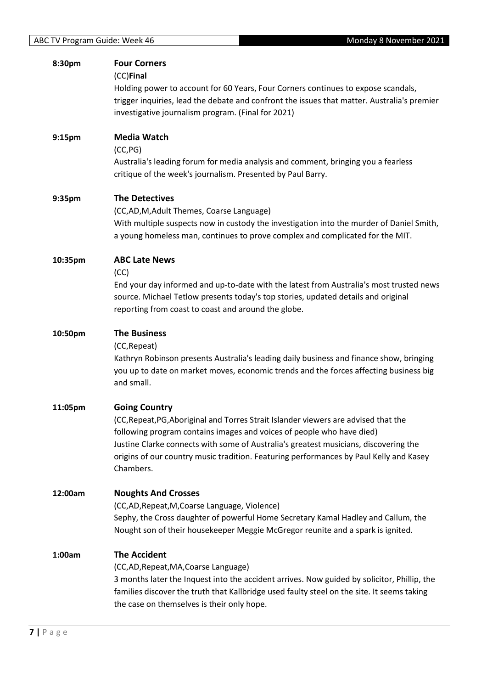| 8:30pm  | <b>Four Corners</b><br>(CC)Final                                                                                                                                                          |
|---------|-------------------------------------------------------------------------------------------------------------------------------------------------------------------------------------------|
|         | Holding power to account for 60 Years, Four Corners continues to expose scandals,                                                                                                         |
|         | trigger inquiries, lead the debate and confront the issues that matter. Australia's premier<br>investigative journalism program. (Final for 2021)                                         |
|         |                                                                                                                                                                                           |
| 9:15pm  | Media Watch                                                                                                                                                                               |
|         | (CC, PG)<br>Australia's leading forum for media analysis and comment, bringing you a fearless                                                                                             |
|         | critique of the week's journalism. Presented by Paul Barry.                                                                                                                               |
| 9:35pm  | <b>The Detectives</b>                                                                                                                                                                     |
|         | (CC,AD,M,Adult Themes, Coarse Language)                                                                                                                                                   |
|         | With multiple suspects now in custody the investigation into the murder of Daniel Smith,<br>a young homeless man, continues to prove complex and complicated for the MIT.                 |
| 10:35pm | <b>ABC Late News</b>                                                                                                                                                                      |
|         | (CC)<br>End your day informed and up-to-date with the latest from Australia's most trusted news                                                                                           |
|         | source. Michael Tetlow presents today's top stories, updated details and original                                                                                                         |
|         | reporting from coast to coast and around the globe.                                                                                                                                       |
| 10:50pm | <b>The Business</b>                                                                                                                                                                       |
|         | (CC, Repeat)                                                                                                                                                                              |
|         | Kathryn Robinson presents Australia's leading daily business and finance show, bringing<br>you up to date on market moves, economic trends and the forces affecting business big          |
|         | and small.                                                                                                                                                                                |
| 11:05pm | <b>Going Country</b>                                                                                                                                                                      |
|         | (CC, Repeat, PG, Aboriginal and Torres Strait Islander viewers are advised that the                                                                                                       |
|         | following program contains images and voices of people who have died)<br>Justine Clarke connects with some of Australia's greatest musicians, discovering the                             |
|         | origins of our country music tradition. Featuring performances by Paul Kelly and Kasey                                                                                                    |
|         | Chambers.                                                                                                                                                                                 |
| 12:00am | <b>Noughts And Crosses</b>                                                                                                                                                                |
|         | (CC,AD, Repeat, M, Coarse Language, Violence)                                                                                                                                             |
|         | Sephy, the Cross daughter of powerful Home Secretary Kamal Hadley and Callum, the<br>Nought son of their housekeeper Meggie McGregor reunite and a spark is ignited.                      |
| 1:00am  | <b>The Accident</b>                                                                                                                                                                       |
|         | (CC,AD, Repeat, MA, Coarse Language)                                                                                                                                                      |
|         | 3 months later the Inquest into the accident arrives. Now guided by solicitor, Phillip, the<br>families discover the truth that Kallbridge used faulty steel on the site. It seems taking |
|         | the case on themselves is their only hope.                                                                                                                                                |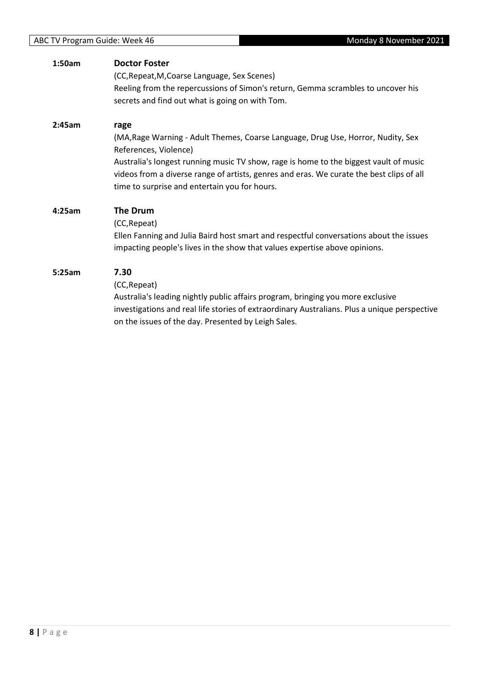| 1:50am | <b>Doctor Foster</b><br>(CC, Repeat, M, Coarse Language, Sex Scenes)<br>Reeling from the repercussions of Simon's return, Gemma scrambles to uncover his<br>secrets and find out what is going on with Tom.                                                                                                                                             |
|--------|---------------------------------------------------------------------------------------------------------------------------------------------------------------------------------------------------------------------------------------------------------------------------------------------------------------------------------------------------------|
| 2:45am | rage<br>(MA, Rage Warning - Adult Themes, Coarse Language, Drug Use, Horror, Nudity, Sex<br>References, Violence)<br>Australia's longest running music TV show, rage is home to the biggest vault of music<br>videos from a diverse range of artists, genres and eras. We curate the best clips of all<br>time to surprise and entertain you for hours. |
| 4:25am | <b>The Drum</b><br>(CC, Repeat)<br>Ellen Fanning and Julia Baird host smart and respectful conversations about the issues<br>impacting people's lives in the show that values expertise above opinions.                                                                                                                                                 |
| 5:25am | 7.30<br>(CC, Repeat)<br>Australia's leading nightly public affairs program, bringing you more exclusive<br>investigations and real life stories of extraordinary Australians. Plus a unique perspective<br>on the issues of the day. Presented by Leigh Sales.                                                                                          |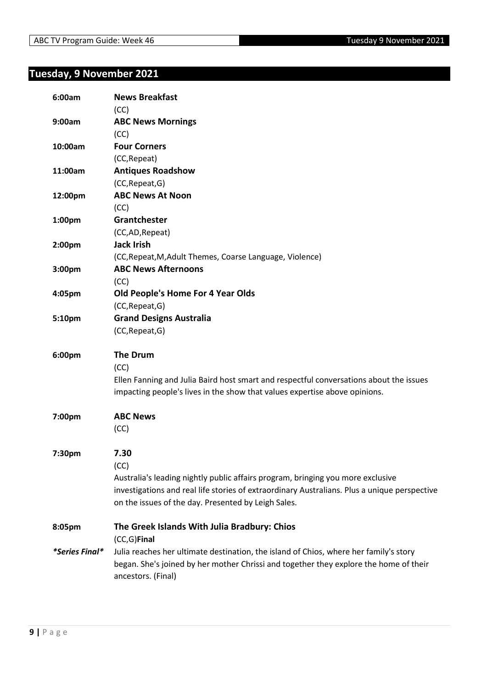## **Tuesday, 9 November 2021**

| 6:00am                | <b>News Breakfast</b>                                                                        |
|-----------------------|----------------------------------------------------------------------------------------------|
|                       | (CC)                                                                                         |
| 9:00am                | <b>ABC News Mornings</b>                                                                     |
|                       | (CC)                                                                                         |
| 10:00am               | <b>Four Corners</b>                                                                          |
|                       | (CC, Repeat)                                                                                 |
| 11:00am               | <b>Antiques Roadshow</b>                                                                     |
|                       | (CC, Repeat, G)                                                                              |
| 12:00pm               | <b>ABC News At Noon</b>                                                                      |
|                       | (CC)                                                                                         |
| 1:00pm                | Grantchester                                                                                 |
|                       | (CC,AD, Repeat)                                                                              |
| 2:00pm                | <b>Jack Irish</b>                                                                            |
|                       | (CC, Repeat, M, Adult Themes, Coarse Language, Violence)                                     |
| 3:00pm                | <b>ABC News Afternoons</b>                                                                   |
|                       | (CC)                                                                                         |
| 4:05pm                | Old People's Home For 4 Year Olds                                                            |
|                       | (CC, Repeat, G)                                                                              |
| 5:10pm                | <b>Grand Designs Australia</b>                                                               |
|                       | (CC, Repeat, G)                                                                              |
| 6:00pm                | <b>The Drum</b>                                                                              |
|                       | (CC)                                                                                         |
|                       | Ellen Fanning and Julia Baird host smart and respectful conversations about the issues       |
|                       | impacting people's lives in the show that values expertise above opinions.                   |
| 7:00pm                | <b>ABC News</b>                                                                              |
|                       | (CC)                                                                                         |
| 7:30pm                | 7.30                                                                                         |
|                       | (CC)                                                                                         |
|                       | Australia's leading nightly public affairs program, bringing you more exclusive              |
|                       | investigations and real life stories of extraordinary Australians. Plus a unique perspective |
|                       | on the issues of the day. Presented by Leigh Sales.                                          |
| 8:05pm                | The Greek Islands With Julia Bradbury: Chios                                                 |
|                       | (CC,G)Final                                                                                  |
| <i>*Series Final*</i> | Julia reaches her ultimate destination, the island of Chios, where her family's story        |
|                       | began. She's joined by her mother Chrissi and together they explore the home of their        |
|                       | ancestors. (Final)                                                                           |
|                       |                                                                                              |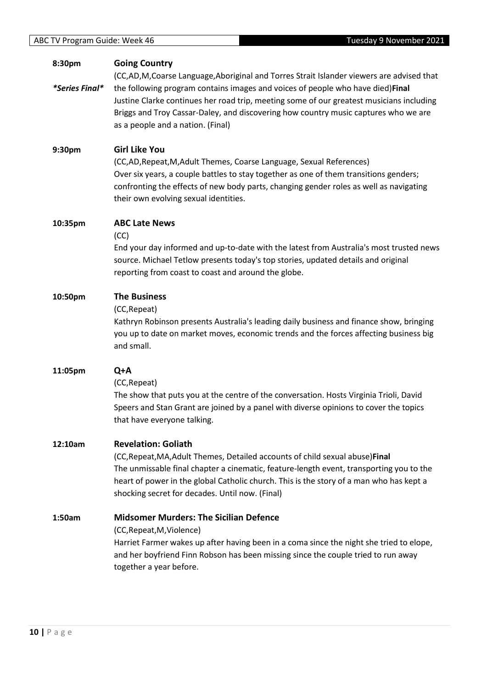|         | as a people and a nation. (Final)                                                                                                                                                                                                                                                                                                                    |
|---------|------------------------------------------------------------------------------------------------------------------------------------------------------------------------------------------------------------------------------------------------------------------------------------------------------------------------------------------------------|
| 9:30pm  | <b>Girl Like You</b><br>(CC,AD, Repeat, M, Adult Themes, Coarse Language, Sexual References)<br>Over six years, a couple battles to stay together as one of them transitions genders;<br>confronting the effects of new body parts, changing gender roles as well as navigating<br>their own evolving sexual identities.                             |
| 10:35pm | <b>ABC Late News</b><br>(CC)<br>End your day informed and up-to-date with the latest from Australia's most trusted new<br>source. Michael Tetlow presents today's top stories, updated details and original<br>reporting from coast to coast and around the globe.                                                                                   |
| 10:50pm | <b>The Business</b><br>(CC, Repeat)<br>Kathryn Robinson presents Australia's leading daily business and finance show, bringing<br>you up to date on market moves, economic trends and the forces affecting business big<br>and small.                                                                                                                |
| 11:05pm | Q+A<br>(CC, Repeat)<br>The show that puts you at the centre of the conversation. Hosts Virginia Trioli, David<br>Speers and Stan Grant are joined by a panel with diverse opinions to cover the topics<br>that have everyone talking.                                                                                                                |
| 12:10am | <b>Revelation: Goliath</b><br>(CC, Repeat, MA, Adult Themes, Detailed accounts of child sexual abuse) Final<br>The unmissable final chapter a cinematic, feature-length event, transporting you to the<br>heart of power in the global Catholic church. This is the story of a man who has kept a<br>shocking secret for decades. Until now. (Final) |
| 1:50am  | <b>Midsomer Murders: The Sicilian Defence</b><br>(CC, Repeat, M, Violence)<br>Harriet Farmer wakes up after having been in a coma since the night she tried to elope,<br>and her boyfriend Finn Robson has been missing since the couple tried to run away<br>together a year before.                                                                |

(CC,AD,M,Coarse Language,Aboriginal and Torres Strait Islander viewers are advised that

Justine Clarke continues her road trip, meeting some of our greatest musicians including Briggs and Troy Cassar-Daley, and discovering how country music captures who we are

the following program contains images and voices of people who have died)**Final**

**Going Country**

**8:30pm**

*\*Series Final\**

trusted news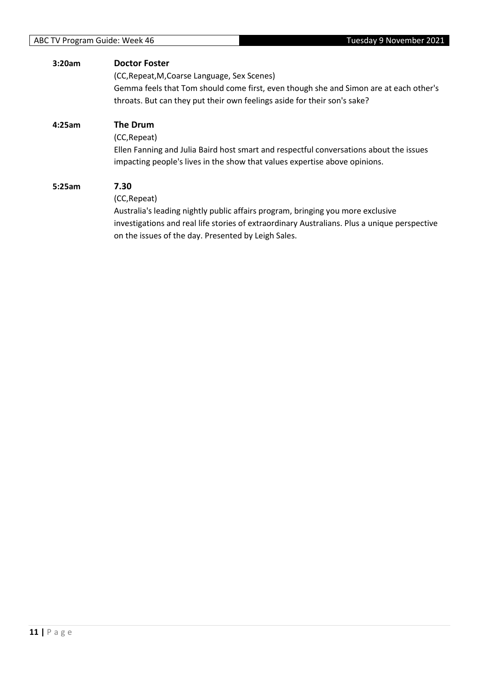| 3:20am | <b>Doctor Foster</b>                                                                         |
|--------|----------------------------------------------------------------------------------------------|
|        | (CC, Repeat, M, Coarse Language, Sex Scenes)                                                 |
|        | Gemma feels that Tom should come first, even though she and Simon are at each other's        |
|        | throats. But can they put their own feelings aside for their son's sake?                     |
| 4:25am | The Drum                                                                                     |
|        | (CC, Repeat)                                                                                 |
|        | Ellen Fanning and Julia Baird host smart and respectful conversations about the issues       |
|        | impacting people's lives in the show that values expertise above opinions.                   |
| 5:25am | 7.30                                                                                         |
|        | (CC, Repeat)                                                                                 |
|        | Australia's leading nightly public affairs program, bringing you more exclusive              |
|        | investigations and real life stories of extraordinary Australians. Plus a unique perspective |
|        | on the issues of the day. Presented by Leigh Sales.                                          |
|        |                                                                                              |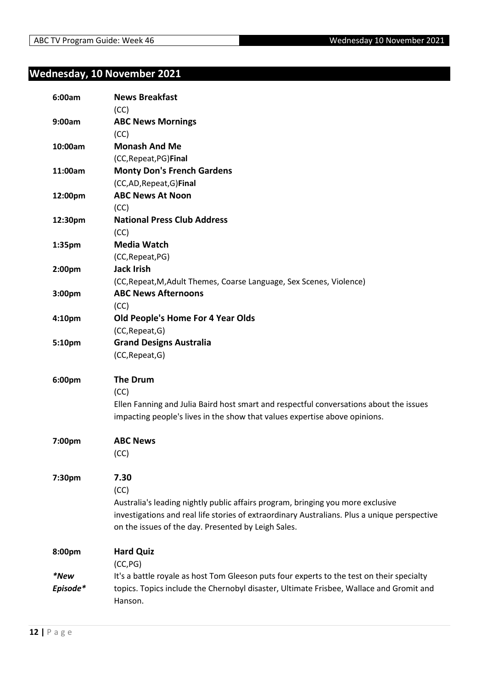## **Wednesday, 10 November 2021**

| 6:00am           | <b>News Breakfast</b><br>(CC)                                                                                                                                                                                                                          |
|------------------|--------------------------------------------------------------------------------------------------------------------------------------------------------------------------------------------------------------------------------------------------------|
| 9:00am           | <b>ABC News Mornings</b><br>(CC)                                                                                                                                                                                                                       |
| 10:00am          | <b>Monash And Me</b><br>(CC, Repeat, PG) Final                                                                                                                                                                                                         |
| 11:00am          | <b>Monty Don's French Gardens</b><br>(CC,AD, Repeat, G) Final                                                                                                                                                                                          |
| 12:00pm          | <b>ABC News At Noon</b><br>(CC)                                                                                                                                                                                                                        |
| 12:30pm          | <b>National Press Club Address</b><br>(CC)                                                                                                                                                                                                             |
| 1:35pm           | <b>Media Watch</b><br>(CC, Repeat, PG)                                                                                                                                                                                                                 |
| 2:00pm           | <b>Jack Irish</b><br>(CC, Repeat, M, Adult Themes, Coarse Language, Sex Scenes, Violence)                                                                                                                                                              |
| 3:00pm           | <b>ABC News Afternoons</b><br>(CC)                                                                                                                                                                                                                     |
| 4:10pm           | Old People's Home For 4 Year Olds<br>(CC, Repeat, G)                                                                                                                                                                                                   |
| 5:10pm           | <b>Grand Designs Australia</b><br>(CC, Repeat, G)                                                                                                                                                                                                      |
| 6:00pm           | <b>The Drum</b><br>(CC)<br>Ellen Fanning and Julia Baird host smart and respectful conversations about the issues<br>impacting people's lives in the show that values expertise above opinions.                                                        |
| 7:00pm           | <b>ABC News</b><br>(CC)                                                                                                                                                                                                                                |
| 7:30pm           | 7.30<br>(CC)<br>Australia's leading nightly public affairs program, bringing you more exclusive<br>investigations and real life stories of extraordinary Australians. Plus a unique perspective<br>on the issues of the day. Presented by Leigh Sales. |
| 8:00pm           | <b>Hard Quiz</b><br>(CC, PG)                                                                                                                                                                                                                           |
| *New<br>Episode* | It's a battle royale as host Tom Gleeson puts four experts to the test on their specialty<br>topics. Topics include the Chernobyl disaster, Ultimate Frisbee, Wallace and Gromit and<br>Hanson.                                                        |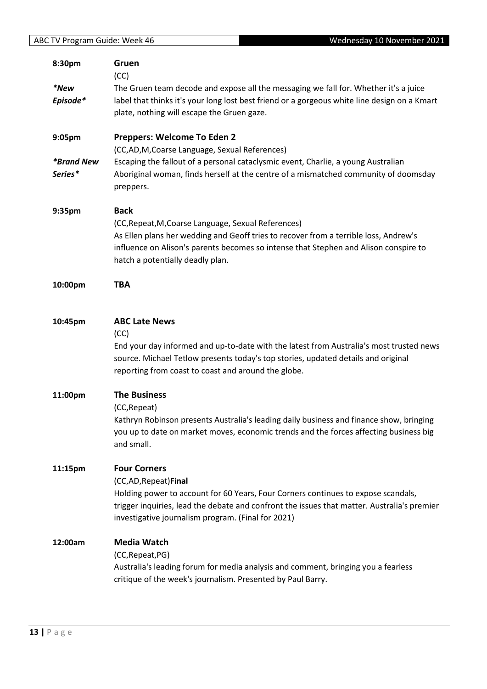|                          | Wednesday 10 November 2021<br>ABC TV Program Guide: Week 46                                                                                                                                                                         |  |
|--------------------------|-------------------------------------------------------------------------------------------------------------------------------------------------------------------------------------------------------------------------------------|--|
| 8:30pm                   | Gruen<br>(CC)                                                                                                                                                                                                                       |  |
| *New                     | The Gruen team decode and expose all the messaging we fall for. Whether it's a juice                                                                                                                                                |  |
| Episode*                 | label that thinks it's your long lost best friend or a gorgeous white line design on a Kmart                                                                                                                                        |  |
|                          | plate, nothing will escape the Gruen gaze.                                                                                                                                                                                          |  |
| 9:05pm                   | Preppers: Welcome To Eden 2                                                                                                                                                                                                         |  |
|                          | (CC,AD,M,Coarse Language, Sexual References)                                                                                                                                                                                        |  |
| <i><b>*Brand New</b></i> | Escaping the fallout of a personal cataclysmic event, Charlie, a young Australian                                                                                                                                                   |  |
| Series*                  | Aboriginal woman, finds herself at the centre of a mismatched community of doomsday<br>preppers.                                                                                                                                    |  |
| 9:35pm                   | <b>Back</b>                                                                                                                                                                                                                         |  |
|                          | (CC, Repeat, M, Coarse Language, Sexual References)                                                                                                                                                                                 |  |
|                          | As Ellen plans her wedding and Geoff tries to recover from a terrible loss, Andrew's                                                                                                                                                |  |
|                          | influence on Alison's parents becomes so intense that Stephen and Alison conspire to<br>hatch a potentially deadly plan.                                                                                                            |  |
| 10:00pm                  | <b>TBA</b>                                                                                                                                                                                                                          |  |
| 10:45pm                  | <b>ABC Late News</b><br>(CC)                                                                                                                                                                                                        |  |
|                          | End your day informed and up-to-date with the latest from Australia's most trusted news<br>source. Michael Tetlow presents today's top stories, updated details and original<br>reporting from coast to coast and around the globe. |  |
| 11:00pm                  | <b>The Business</b>                                                                                                                                                                                                                 |  |
|                          | (CC, Repeat)                                                                                                                                                                                                                        |  |
|                          | Kathryn Robinson presents Australia's leading daily business and finance show, bringing<br>you up to date on market moves, economic trends and the forces affecting business big                                                    |  |
|                          | and small.                                                                                                                                                                                                                          |  |
| 11:15pm                  | <b>Four Corners</b>                                                                                                                                                                                                                 |  |
|                          | (CC,AD, Repeat) Final                                                                                                                                                                                                               |  |
|                          | Holding power to account for 60 Years, Four Corners continues to expose scandals,                                                                                                                                                   |  |
|                          | trigger inquiries, lead the debate and confront the issues that matter. Australia's premier<br>investigative journalism program. (Final for 2021)                                                                                   |  |
| 12:00am                  | <b>Media Watch</b>                                                                                                                                                                                                                  |  |
|                          | (CC, Repeat, PG)                                                                                                                                                                                                                    |  |
|                          | Australia's leading forum for media analysis and comment, bringing you a fearless<br>critique of the week's journalism. Presented by Paul Barry.                                                                                    |  |
|                          |                                                                                                                                                                                                                                     |  |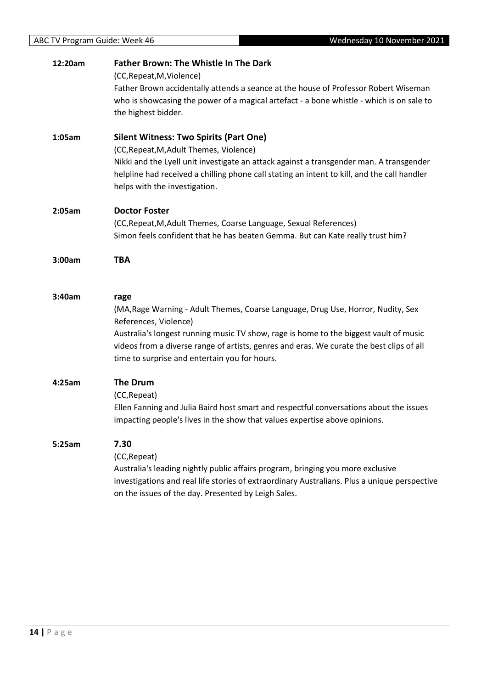| 12:20am | <b>Father Brown: The Whistle In The Dark</b><br>(CC, Repeat, M, Violence)                                                                                                                                                                                                                                                                               |
|---------|---------------------------------------------------------------------------------------------------------------------------------------------------------------------------------------------------------------------------------------------------------------------------------------------------------------------------------------------------------|
|         | Father Brown accidentally attends a seance at the house of Professor Robert Wiseman<br>who is showcasing the power of a magical artefact - a bone whistle - which is on sale to<br>the highest bidder.                                                                                                                                                  |
| 1:05am  | <b>Silent Witness: Two Spirits (Part One)</b><br>(CC, Repeat, M, Adult Themes, Violence)<br>Nikki and the Lyell unit investigate an attack against a transgender man. A transgender<br>helpline had received a chilling phone call stating an intent to kill, and the call handler<br>helps with the investigation.                                     |
| 2:05am  | <b>Doctor Foster</b><br>(CC, Repeat, M, Adult Themes, Coarse Language, Sexual References)<br>Simon feels confident that he has beaten Gemma. But can Kate really trust him?                                                                                                                                                                             |
| 3:00am  | <b>TBA</b>                                                                                                                                                                                                                                                                                                                                              |
| 3:40am  | rage<br>(MA, Rage Warning - Adult Themes, Coarse Language, Drug Use, Horror, Nudity, Sex<br>References, Violence)<br>Australia's longest running music TV show, rage is home to the biggest vault of music<br>videos from a diverse range of artists, genres and eras. We curate the best clips of all<br>time to surprise and entertain you for hours. |
| 4:25am  | <b>The Drum</b><br>(CC, Repeat)<br>Ellen Fanning and Julia Baird host smart and respectful conversations about the issues<br>impacting people's lives in the show that values expertise above opinions.                                                                                                                                                 |
| 5:25am  | 7.30<br>(CC, Repeat)<br>Australia's leading nightly public affairs program, bringing you more exclusive<br>investigations and real life stories of extraordinary Australians. Plus a unique perspective<br>on the issues of the day. Presented by Leigh Sales.                                                                                          |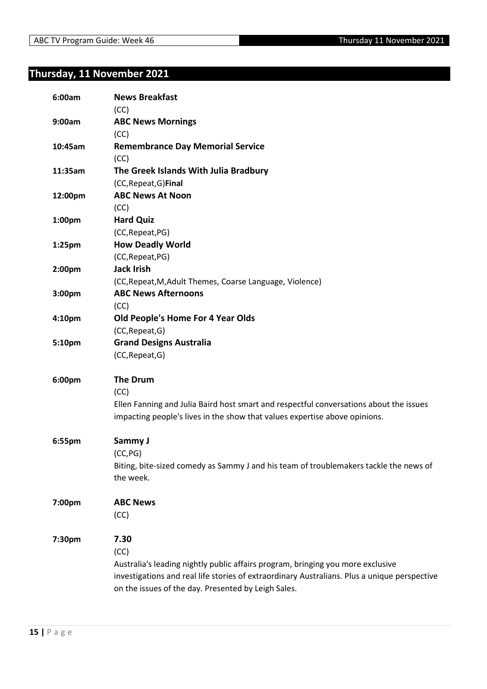## **Thursday, 11 November 2021**

| 6:00am             | <b>News Breakfast</b><br>(CC)                                                                |
|--------------------|----------------------------------------------------------------------------------------------|
| 9:00am             | <b>ABC News Mornings</b>                                                                     |
|                    | (CC)                                                                                         |
| 10:45am            | <b>Remembrance Day Memorial Service</b>                                                      |
|                    | (CC)                                                                                         |
| 11:35am            | The Greek Islands With Julia Bradbury                                                        |
|                    | (CC, Repeat, G) Final                                                                        |
| 12:00pm            | <b>ABC News At Noon</b>                                                                      |
|                    | (CC)                                                                                         |
| 1:00pm             | <b>Hard Quiz</b>                                                                             |
|                    | (CC, Repeat, PG)                                                                             |
| 1:25 <sub>pm</sub> | <b>How Deadly World</b>                                                                      |
|                    | (CC, Repeat, PG)                                                                             |
| 2:00pm             | <b>Jack Irish</b>                                                                            |
|                    | (CC, Repeat, M, Adult Themes, Coarse Language, Violence)                                     |
| 3:00pm             | <b>ABC News Afternoons</b>                                                                   |
|                    | (CC)                                                                                         |
| 4:10pm             | Old People's Home For 4 Year Olds                                                            |
|                    | (CC, Repeat, G)                                                                              |
| 5:10pm             | <b>Grand Designs Australia</b>                                                               |
|                    | (CC, Repeat, G)                                                                              |
| 6:00pm             | <b>The Drum</b>                                                                              |
|                    | (CC)                                                                                         |
|                    | Ellen Fanning and Julia Baird host smart and respectful conversations about the issues       |
|                    | impacting people's lives in the show that values expertise above opinions.                   |
| 6:55pm             | Sammy J                                                                                      |
|                    | (CC, PG)                                                                                     |
|                    | Biting, bite-sized comedy as Sammy J and his team of troublemakers tackle the news of        |
|                    | the week.                                                                                    |
| 7:00pm             | <b>ABC News</b>                                                                              |
|                    | (CC)                                                                                         |
| 7:30pm             | 7.30                                                                                         |
|                    | (CC)                                                                                         |
|                    | Australia's leading nightly public affairs program, bringing you more exclusive              |
|                    | investigations and real life stories of extraordinary Australians. Plus a unique perspective |
|                    | on the issues of the day. Presented by Leigh Sales.                                          |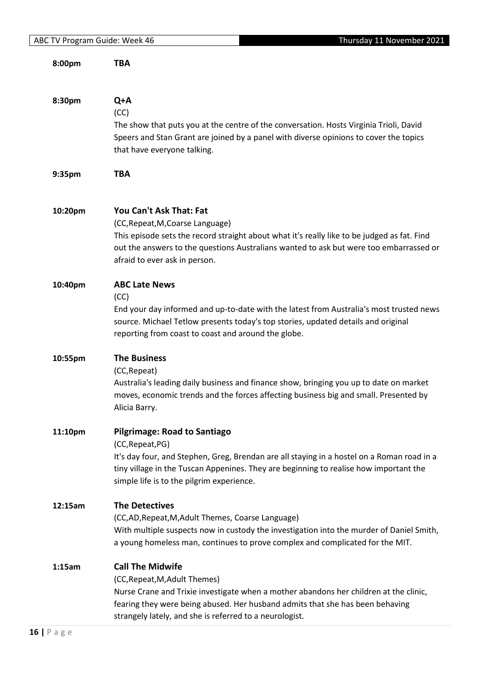| 8:00pm  | TBA                                                                                                                                                                                                                                                                                           |
|---------|-----------------------------------------------------------------------------------------------------------------------------------------------------------------------------------------------------------------------------------------------------------------------------------------------|
| 8:30pm  | Q+A<br>(CC)<br>The show that puts you at the centre of the conversation. Hosts Virginia Trioli, David<br>Speers and Stan Grant are joined by a panel with diverse opinions to cover the topics<br>that have everyone talking.                                                                 |
| 9:35pm  | <b>TBA</b>                                                                                                                                                                                                                                                                                    |
| 10:20pm | You Can't Ask That: Fat<br>(CC, Repeat, M, Coarse Language)<br>This episode sets the record straight about what it's really like to be judged as fat. Find<br>out the answers to the questions Australians wanted to ask but were too embarrassed or<br>afraid to ever ask in person.         |
| 10:40pm | <b>ABC Late News</b><br>(CC)<br>End your day informed and up-to-date with the latest from Australia's most trusted news<br>source. Michael Tetlow presents today's top stories, updated details and original<br>reporting from coast to coast and around the globe.                           |
| 10:55pm | <b>The Business</b><br>(CC, Repeat)<br>Australia's leading daily business and finance show, bringing you up to date on market<br>moves, economic trends and the forces affecting business big and small. Presented by<br>Alicia Barry.                                                        |
| 11:10pm | <b>Pilgrimage: Road to Santiago</b><br>(CC, Repeat, PG)<br>It's day four, and Stephen, Greg, Brendan are all staying in a hostel on a Roman road in a<br>tiny village in the Tuscan Appenines. They are beginning to realise how important the<br>simple life is to the pilgrim experience.   |
| 12:15am | <b>The Detectives</b><br>(CC,AD, Repeat, M, Adult Themes, Coarse Language)<br>With multiple suspects now in custody the investigation into the murder of Daniel Smith,<br>a young homeless man, continues to prove complex and complicated for the MIT.                                       |
| 1:15am  | <b>Call The Midwife</b><br>(CC, Repeat, M, Adult Themes)<br>Nurse Crane and Trixie investigate when a mother abandons her children at the clinic,<br>fearing they were being abused. Her husband admits that she has been behaving<br>strangely lately, and she is referred to a neurologist. |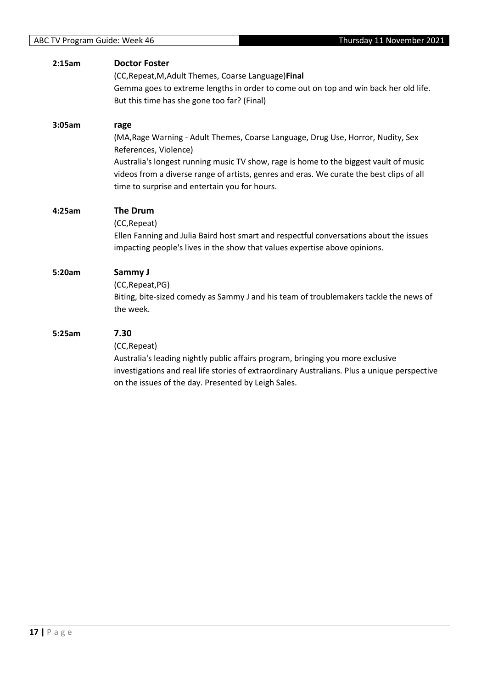| 2:15am | <b>Doctor Foster</b><br>(CC, Repeat, M, Adult Themes, Coarse Language) Final<br>Gemma goes to extreme lengths in order to come out on top and win back her old life.<br>But this time has she gone too far? (Final)                                                                                                                                     |
|--------|---------------------------------------------------------------------------------------------------------------------------------------------------------------------------------------------------------------------------------------------------------------------------------------------------------------------------------------------------------|
| 3:05am | rage<br>(MA, Rage Warning - Adult Themes, Coarse Language, Drug Use, Horror, Nudity, Sex<br>References, Violence)<br>Australia's longest running music TV show, rage is home to the biggest vault of music<br>videos from a diverse range of artists, genres and eras. We curate the best clips of all<br>time to surprise and entertain you for hours. |
| 4:25am | <b>The Drum</b><br>(CC, Repeat)<br>Ellen Fanning and Julia Baird host smart and respectful conversations about the issues<br>impacting people's lives in the show that values expertise above opinions.                                                                                                                                                 |
| 5:20am | Sammy J<br>(CC, Repeat, PG)<br>Biting, bite-sized comedy as Sammy J and his team of troublemakers tackle the news of<br>the week.                                                                                                                                                                                                                       |
| 5:25am | 7.30<br>(CC, Repeat)<br>Australia's leading nightly public affairs program, bringing you more exclusive<br>investigations and real life stories of extraordinary Australians. Plus a unique perspective<br>on the issues of the day. Presented by Leigh Sales.                                                                                          |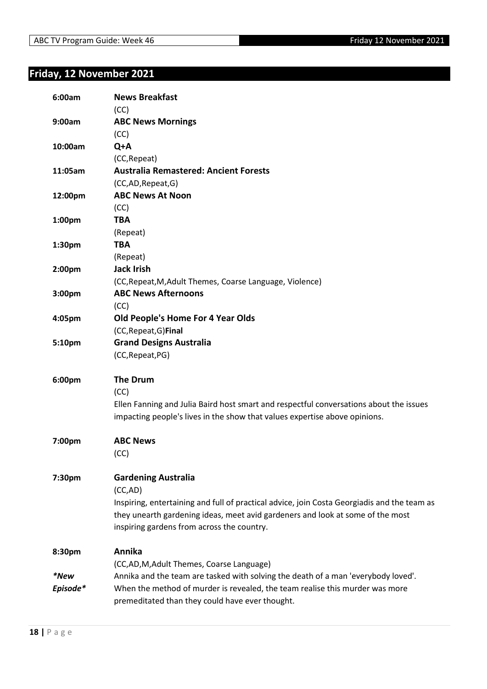## **Friday, 12 November 2021**

| 6:00am   | <b>News Breakfast</b><br>(CC)                                                               |
|----------|---------------------------------------------------------------------------------------------|
| 9:00am   | <b>ABC News Mornings</b>                                                                    |
|          | (CC)                                                                                        |
| 10:00am  | Q+A                                                                                         |
|          | (CC, Repeat)                                                                                |
| 11:05am  | <b>Australia Remastered: Ancient Forests</b>                                                |
|          | (CC,AD,Repeat,G)                                                                            |
| 12:00pm  | <b>ABC News At Noon</b>                                                                     |
|          | (CC)                                                                                        |
| 1:00pm   | <b>TBA</b>                                                                                  |
|          | (Repeat)                                                                                    |
| 1:30pm   | <b>TBA</b>                                                                                  |
|          | (Repeat)                                                                                    |
| 2:00pm   | <b>Jack Irish</b>                                                                           |
|          | (CC, Repeat, M, Adult Themes, Coarse Language, Violence)                                    |
| 3:00pm   | <b>ABC News Afternoons</b>                                                                  |
|          | (CC)                                                                                        |
| 4:05pm   | Old People's Home For 4 Year Olds                                                           |
|          | (CC, Repeat, G) Final                                                                       |
| 5:10pm   | <b>Grand Designs Australia</b>                                                              |
|          | (CC, Repeat, PG)                                                                            |
| 6:00pm   | <b>The Drum</b>                                                                             |
|          | (CC)                                                                                        |
|          | Ellen Fanning and Julia Baird host smart and respectful conversations about the issues      |
|          | impacting people's lives in the show that values expertise above opinions.                  |
|          |                                                                                             |
| 7:00pm   | <b>ABC News</b>                                                                             |
|          | (CC)                                                                                        |
| 7:30pm   | <b>Gardening Australia</b>                                                                  |
|          | (CC,AD)                                                                                     |
|          | Inspiring, entertaining and full of practical advice, join Costa Georgiadis and the team as |
|          | they unearth gardening ideas, meet avid gardeners and look at some of the most              |
|          | inspiring gardens from across the country.                                                  |
| 8:30pm   | Annika                                                                                      |
|          | (CC,AD,M,Adult Themes, Coarse Language)                                                     |
| *New     | Annika and the team are tasked with solving the death of a man 'everybody loved'.           |
| Episode* | When the method of murder is revealed, the team realise this murder was more                |
|          | premeditated than they could have ever thought.                                             |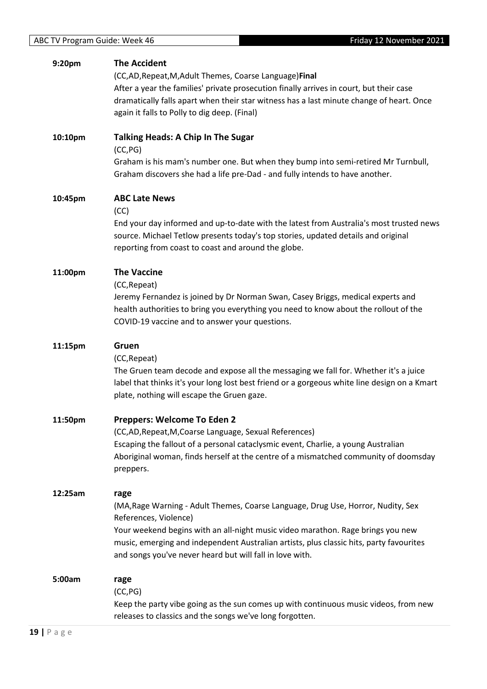(CC,AD,Repeat,M,Adult Themes, Coarse Language)**Final** After a year the families' private prosecution finally arrives in court, but their case dramatically falls apart when their star witness has a last minute change of heart. Once again it falls to Polly to dig deep. (Final)

Graham discovers she had a life pre-Dad - and fully intends to have another.

**10:10pm Talking Heads: A Chip In The Sugar** (CC,PG) Graham is his mam's number one. But when they bump into semi-retired Mr Turnbull,

#### **10:45pm ABC Late News**

(CC)

End your day informed and up-to-date with the latest from Australia's most trusted news source. Michael Tetlow presents today's top stories, updated details and original reporting from coast to coast and around the globe.

#### **11:00pm The Vaccine**

(CC,Repeat)

Jeremy Fernandez is joined by Dr Norman Swan, Casey Briggs, medical experts and health authorities to bring you everything you need to know about the rollout of the COVID-19 vaccine and to answer your questions.

| 11:15pm | Gruen                                                                                        |
|---------|----------------------------------------------------------------------------------------------|
|         | (CC, Repeat)                                                                                 |
|         | The Gruen team decode and expose all the messaging we fall for. Whether it's a juice         |
|         | label that thinks it's your long lost best friend or a gorgeous white line design on a Kmart |
|         | plate, nothing will escape the Gruen gaze.                                                   |
| 11:50pm | Preppers: Welcome To Eden 2                                                                  |
|         | (CC,AD, Repeat, M, Coarse Language, Sexual References)                                       |
|         | Escaping the fallout of a personal cataclysmic event, Charlie, a young Australian            |
|         | Aboriginal woman, finds herself at the centre of a mismatched community of doomsday          |
|         | preppers.                                                                                    |
| 12:25am | rage                                                                                         |
|         | (MA, Rage Warning - Adult Themes, Coarse Language, Drug Use, Horror, Nudity, Sex             |
|         | References, Violence)                                                                        |
|         | Your weekend begins with an all-night music video marathon. Rage brings you new              |
|         | music, emerging and independent Australian artists, plus classic hits, party favourites      |
|         | and songs you've never heard but will fall in love with.                                     |
| 5:00am  | rage                                                                                         |
|         | (CC, PG)                                                                                     |
|         | Keep the party vibe going as the sun comes up with continuous music videos, from new         |
|         | releases to classics and the songs we've long forgotten.                                     |
|         |                                                                                              |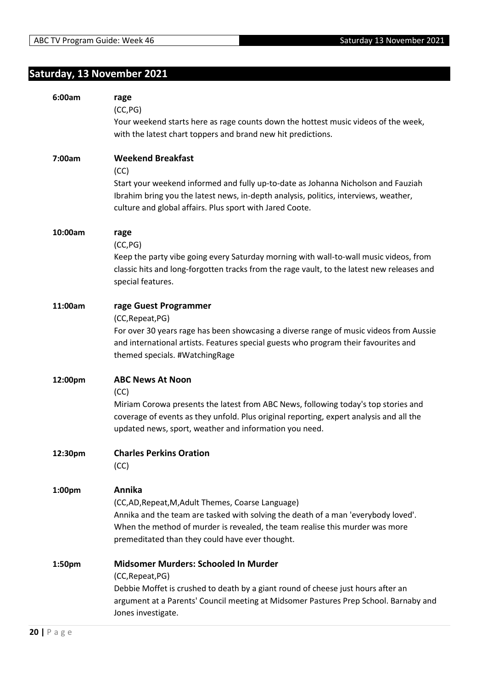## **Saturday, 13 November 2021**

| 6:00am  | rage                                                                                                                                                                     |
|---------|--------------------------------------------------------------------------------------------------------------------------------------------------------------------------|
|         | (CC, PG)                                                                                                                                                                 |
|         | Your weekend starts here as rage counts down the hottest music videos of the week,<br>with the latest chart toppers and brand new hit predictions.                       |
|         |                                                                                                                                                                          |
| 7:00am  | <b>Weekend Breakfast</b>                                                                                                                                                 |
|         | (CC)                                                                                                                                                                     |
|         | Start your weekend informed and fully up-to-date as Johanna Nicholson and Fauziah                                                                                        |
|         | Ibrahim bring you the latest news, in-depth analysis, politics, interviews, weather,                                                                                     |
|         | culture and global affairs. Plus sport with Jared Coote.                                                                                                                 |
| 10:00am | rage                                                                                                                                                                     |
|         | (CC, PG)                                                                                                                                                                 |
|         | Keep the party vibe going every Saturday morning with wall-to-wall music videos, from                                                                                    |
|         | classic hits and long-forgotten tracks from the rage vault, to the latest new releases and                                                                               |
|         | special features.                                                                                                                                                        |
| 11:00am | rage Guest Programmer                                                                                                                                                    |
|         | (CC, Repeat, PG)                                                                                                                                                         |
|         | For over 30 years rage has been showcasing a diverse range of music videos from Aussie                                                                                   |
|         | and international artists. Features special guests who program their favourites and                                                                                      |
|         | themed specials. #WatchingRage                                                                                                                                           |
| 12:00pm | <b>ABC News At Noon</b>                                                                                                                                                  |
|         | (CC)                                                                                                                                                                     |
|         | Miriam Corowa presents the latest from ABC News, following today's top stories and                                                                                       |
|         | coverage of events as they unfold. Plus original reporting, expert analysis and all the                                                                                  |
|         | updated news, sport, weather and information you need.                                                                                                                   |
| 12:30pm | <b>Charles Perkins Oration</b>                                                                                                                                           |
|         | (CC)                                                                                                                                                                     |
|         |                                                                                                                                                                          |
| 1:00pm  | Annika                                                                                                                                                                   |
|         | (CC,AD, Repeat, M, Adult Themes, Coarse Language)<br>Annika and the team are tasked with solving the death of a man 'everybody loved'.                                   |
|         | When the method of murder is revealed, the team realise this murder was more                                                                                             |
|         | premeditated than they could have ever thought.                                                                                                                          |
|         |                                                                                                                                                                          |
| 1:50pm  | Midsomer Murders: Schooled In Murder                                                                                                                                     |
|         | (CC, Repeat, PG)                                                                                                                                                         |
|         | Debbie Moffet is crushed to death by a giant round of cheese just hours after an<br>argument at a Parents' Council meeting at Midsomer Pastures Prep School. Barnaby and |
|         | Jones investigate.                                                                                                                                                       |
|         |                                                                                                                                                                          |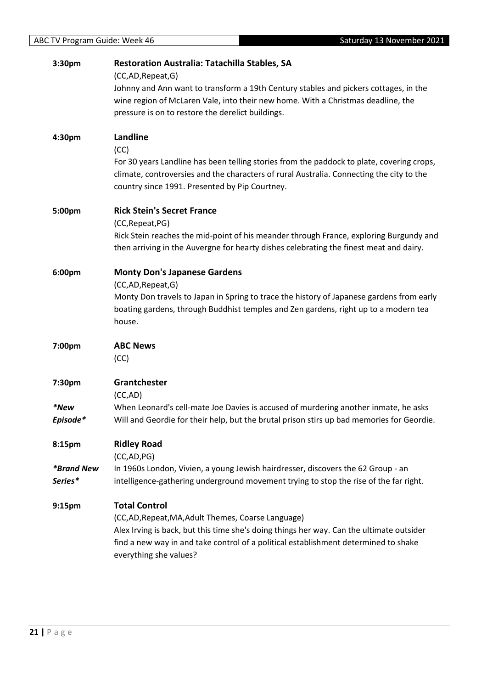| 3:30pm                   | <b>Restoration Australia: Tatachilla Stables, SA</b>                                      |
|--------------------------|-------------------------------------------------------------------------------------------|
|                          | (CC,AD,Repeat,G)                                                                          |
|                          | Johnny and Ann want to transform a 19th Century stables and pickers cottages, in the      |
|                          | wine region of McLaren Vale, into their new home. With a Christmas deadline, the          |
|                          | pressure is on to restore the derelict buildings.                                         |
| 4:30pm                   | Landline                                                                                  |
|                          | (CC)                                                                                      |
|                          | For 30 years Landline has been telling stories from the paddock to plate, covering crops, |
|                          | climate, controversies and the characters of rural Australia. Connecting the city to the  |
|                          | country since 1991. Presented by Pip Courtney.                                            |
| 5:00pm                   | <b>Rick Stein's Secret France</b>                                                         |
|                          | (CC, Repeat, PG)                                                                          |
|                          | Rick Stein reaches the mid-point of his meander through France, exploring Burgundy and    |
|                          | then arriving in the Auvergne for hearty dishes celebrating the finest meat and dairy.    |
| 6:00pm                   | <b>Monty Don's Japanese Gardens</b>                                                       |
|                          | (CC,AD,Repeat,G)                                                                          |
|                          | Monty Don travels to Japan in Spring to trace the history of Japanese gardens from early  |
|                          | boating gardens, through Buddhist temples and Zen gardens, right up to a modern tea       |
|                          | house.                                                                                    |
| 7:00pm                   | <b>ABC News</b>                                                                           |
|                          | (CC)                                                                                      |
|                          |                                                                                           |
| 7:30pm                   |                                                                                           |
|                          | Grantchester                                                                              |
|                          | (CC, AD)                                                                                  |
| *New                     | When Leonard's cell-mate Joe Davies is accused of murdering another inmate, he asks       |
| Episode*                 | Will and Geordie for their help, but the brutal prison stirs up bad memories for Geordie. |
| 8:15pm                   | <b>Ridley Road</b>                                                                        |
|                          | (CC, AD, PG)                                                                              |
| <i><b>*Brand New</b></i> | In 1960s London, Vivien, a young Jewish hairdresser, discovers the 62 Group - an          |
| Series*                  | intelligence-gathering underground movement trying to stop the rise of the far right.     |
| 9:15pm                   | <b>Total Control</b>                                                                      |
|                          | (CC,AD, Repeat, MA, Adult Themes, Coarse Language)                                        |
|                          | Alex Irving is back, but this time she's doing things her way. Can the ultimate outsider  |
|                          | find a new way in and take control of a political establishment determined to shake       |
|                          | everything she values?                                                                    |